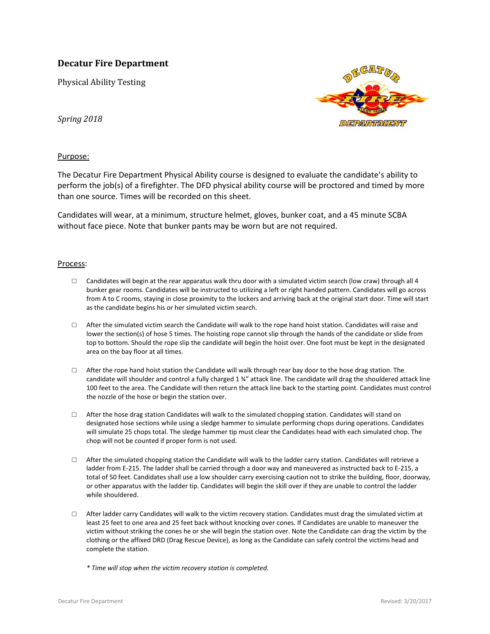## **Decatur Fire Department**

Physical Ability Testing



*Spring 2018*

## Purpose:

The Decatur Fire Department Physical Ability course is designed to evaluate the candidate's ability to perform the job(s) of a firefighter. The DFD physical ability course will be proctored and timed by more than one source. Times will be recorded on this sheet.

Candidates will wear, at a minimum, structure helmet, gloves, bunker coat, and a 45 minute SCBA without face piece. Note that bunker pants may be worn but are not required.

## Process:

- $\Box$  Candidates will begin at the rear apparatus walk thru door with a simulated victim search (low craw) through all 4 bunker gear rooms. Candidates will be instructed to utilizing a left or right handed pattern. Candidates will go across from A to C rooms, staying in close proximity to the lockers and arriving back at the original start door. Time will start as the candidate begins his or her simulated victim search.
- $\square$  After the simulated victim search the Candidate will walk to the rope hand hoist station. Candidates will raise and lower the section(s) of hose 5 times. The hoisting rope cannot slip through the hands of the candidate or slide from top to bottom. Should the rope slip the candidate will begin the hoist over. One foot must be kept in the designated area on the bay floor at all times.
- □ After the rope hand hoist station the Candidate will walk through rear bay door to the hose drag station. The candidate will shoulder and control a fully charged 1 ¾" attack line. The candidate will drag the shouldered attack line 100 feet to the area. The Candidate will then return the attack line back to the starting point. Candidates must control the nozzle of the hose or begin the station over.
- $\Box$  After the hose drag station Candidates will walk to the simulated chopping station. Candidates will stand on designated hose sections while using a sledge hammer to simulate performing chops during operations. Candidates will simulate 25 chops total. The sledge hammer tip must clear the Candidates head with each simulated chop. The chop will not be counted if proper form is not used.
- $\Box$  After the simulated chopping station the Candidate will walk to the ladder carry station. Candidates will retrieve a ladder from E-215. The ladder shall be carried through a door way and maneuvered as instructed back to E-215, a total of 50 feet. Candidates shall use a low shoulder carry exercising caution not to strike the building, floor, doorway, or other apparatus with the ladder tip. Candidates will begin the skill over if they are unable to control the ladder while shouldered.
- $\Box$  After ladder carry Candidates will walk to the victim recovery station. Candidates must drag the simulated victim at least 25 feet to one area and 25 feet back without knocking over cones. If Candidates are unable to maneuver the victim without striking the cones he or she will begin the station over. Note the Candidate can drag the victim by the clothing or the affixed DRD (Drag Rescue Device), as long as the Candidate can safely control the victims head and complete the station.
	- *\* Time will stop when the victim recovery station is completed.*